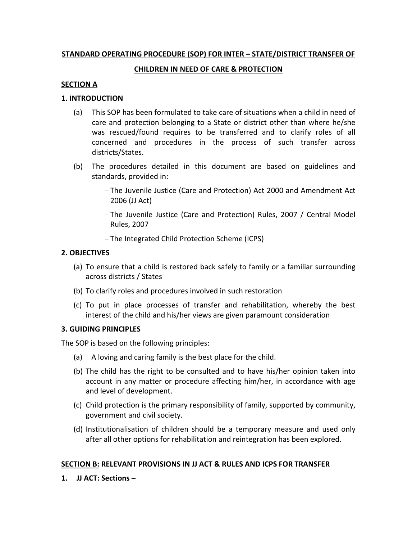## STANDARD OPERATING PROCEDURE (SOP) FOR INTER – STATE/DISTRICT TRANSFER OF

### CHILDREN IN NEED OF CARE & PROTECTION

## SECTION A

#### 1. INTRODUCTION

- (a) This SOP has been formulated to take care of situations when a child in need of care and protection belonging to a State or district other than where he/she was rescued/found requires to be transferred and to clarify roles of all concerned and procedures in the process of such transfer across districts/States.
- (b) The procedures detailed in this document are based on guidelines and standards, provided in:
	- The Juvenile Justice (Care and Protection) Act 2000 and Amendment Act 2006 (JJ Act)
	- The Juvenile Justice (Care and Protection) Rules, 2007 / Central Model Rules, 2007
	- The Integrated Child Protection Scheme (ICPS)

## 2. OBJECTIVES

- (a) To ensure that a child is restored back safely to family or a familiar surrounding across districts / States
- (b) To clarify roles and procedures involved in such restoration
- (c) To put in place processes of transfer and rehabilitation, whereby the best interest of the child and his/her views are given paramount consideration

#### 3. GUIDING PRINCIPLES

The SOP is based on the following principles:

- (a) A loving and caring family is the best place for the child.
- (b) The child has the right to be consulted and to have his/her opinion taken into account in any matter or procedure affecting him/her, in accordance with age and level of development.
- (c) Child protection is the primary responsibility of family, supported by community, government and civil society.
- (d) Institutionalisation of children should be a temporary measure and used only after all other options for rehabilitation and reintegration has been explored.

# SECTION B: RELEVANT PROVISIONS IN JJ ACT & RULES AND ICPS FOR TRANSFER

1. JJ ACT: Sections –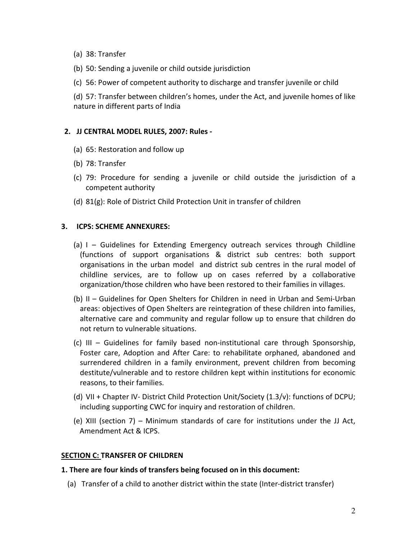- (a) 38: Transfer
- (b) 50: Sending a juvenile or child outside jurisdiction
- (c) 56: Power of competent authority to discharge and transfer juvenile or child

(d) 57: Transfer between children's homes, under the Act, and juvenile homes of like nature in different parts of India

## 2. JJ CENTRAL MODEL RULES, 2007: Rules -

- (a) 65: Restoration and follow up
- (b) 78: Transfer
- (c) 79: Procedure for sending a juvenile or child outside the jurisdiction of a competent authority
- (d) 81(g): Role of District Child Protection Unit in transfer of children

#### 3. ICPS: SCHEME ANNEXURES:

- (a) I Guidelines for Extending Emergency outreach services through Childline (functions of support organisations & district sub centres: both support organisations in the urban model and district sub centres in the rural model of childline services, are to follow up on cases referred by a collaborative organization/those children who have been restored to their families in villages.
- (b) II Guidelines for Open Shelters for Children in need in Urban and Semi-Urban areas: objectives of Open Shelters are reintegration of these children into families, alternative care and community and regular follow up to ensure that children do not return to vulnerable situations.
- (c) III Guidelines for family based non-institutional care through Sponsorship, Foster care, Adoption and After Care: to rehabilitate orphaned, abandoned and surrendered children in a family environment, prevent children from becoming destitute/vulnerable and to restore children kept within institutions for economic reasons, to their families.
- (d) VII + Chapter IV- District Child Protection Unit/Society (1.3/v): functions of DCPU; including supporting CWC for inquiry and restoration of children.
- (e) XIII (section 7) Minimum standards of care for institutions under the JJ Act, Amendment Act & ICPS.

# SECTION C: TRANSFER OF CHILDREN

#### 1. There are four kinds of transfers being focused on in this document:

(a) Transfer of a child to another district within the state (Inter-district transfer)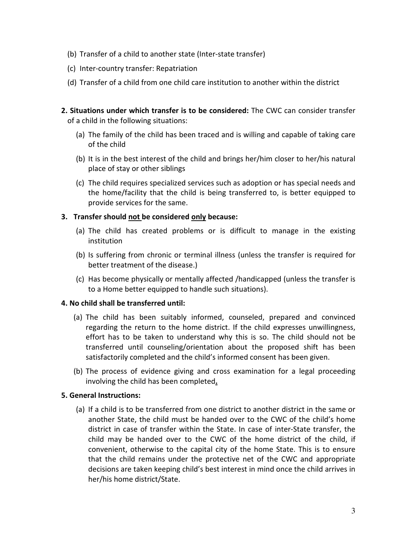- (b) Transfer of a child to another state (Inter-state transfer)
- (c) Inter-country transfer: Repatriation
- (d) Transfer of a child from one child care institution to another within the district
- 2. Situations under which transfer is to be considered: The CWC can consider transfer of a child in the following situations:
	- (a) The family of the child has been traced and is willing and capable of taking care of the child
	- (b) It is in the best interest of the child and brings her/him closer to her/his natural place of stay or other siblings
	- (c) The child requires specialized services such as adoption or has special needs and the home/facility that the child is being transferred to, is better equipped to provide services for the same.

## 3. Transfer should not be considered only because:

- (a) The child has created problems or is difficult to manage in the existing institution
- (b) Is suffering from chronic or terminal illness (unless the transfer is required for better treatment of the disease.)
- (c) Has become physically or mentally affected /handicapped (unless the transfer is to a Home better equipped to handle such situations).

#### 4. No child shall be transferred until:

- (a) The child has been suitably informed, counseled, prepared and convinced regarding the return to the home district. If the child expresses unwillingness, effort has to be taken to understand why this is so. The child should not be transferred until counseling/orientation about the proposed shift has been satisfactorily completed and the child's informed consent has been given.
- (b) The process of evidence giving and cross examination for a legal proceeding involving the child has been completed.

# 5. General Instructions:

(a) If a child is to be transferred from one district to another district in the same or another State, the child must be handed over to the CWC of the child's home district in case of transfer within the State. In case of inter-State transfer, the child may be handed over to the CWC of the home district of the child, if convenient, otherwise to the capital city of the home State. This is to ensure that the child remains under the protective net of the CWC and appropriate decisions are taken keeping child's best interest in mind once the child arrives in her/his home district/State.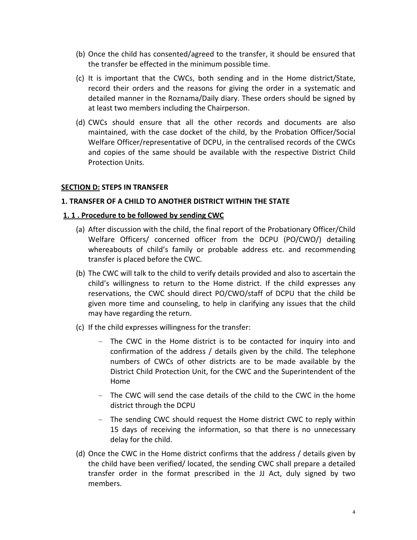- (b) Once the child has consented/agreed to the transfer, it should be ensured that the transfer be effected in the minimum possible time.
- (c) It is important that the CWCs, both sending and in the Home district/State, record their orders and the reasons for giving the order in a systematic and detailed manner in the Roznama/Daily diary. These orders should be signed by at least two members including the Chairperson.
- (d) CWCs should ensure that all the other records and documents are also maintained, with the case docket of the child, by the Probation Officer/Social Welfare Officer/representative of DCPU, in the centralised records of the CWCs and copies of the same should be available with the respective District Child Protection Units.

## **SECTION D: STEPS IN TRANSFER**

#### 1. TRANSFER OF A CHILD TO ANOTHER DISTRICT WITHIN THE STATE

#### 1. 1 . Procedure to be followed by sending CWC

- (a) After discussion with the child, the final report of the Probationary Officer/Child Welfare Officers/ concerned officer from the DCPU (PO/CWO/) detailing whereabouts of child's family or probable address etc. and recommending transfer is placed before the CWC.
- (b) The CWC will talk to the child to verify details provided and also to ascertain the child's willingness to return to the Home district. If the child expresses any reservations, the CWC should direct PO/CWO/staff of DCPU that the child be given more time and counseling, to help in clarifying any issues that the child may have regarding the return.
- (c) If the child expresses willingness for the transfer:
	- The CWC in the Home district is to be contacted for inquiry into and confirmation of the address / details given by the child. The telephone numbers of CWCs of other districts are to be made available by the District Child Protection Unit, for the CWC and the Superintendent of the Home
	- The CWC will send the case details of the child to the CWC in the home district through the DCPU
	- The sending CWC should request the Home district CWC to reply within 15 days of receiving the information, so that there is no unnecessary delay for the child.
- (d) Once the CWC in the Home district confirms that the address / details given by the child have been verified/ located, the sending CWC shall prepare a detailed transfer order in the format prescribed in the JJ Act, duly signed by two members.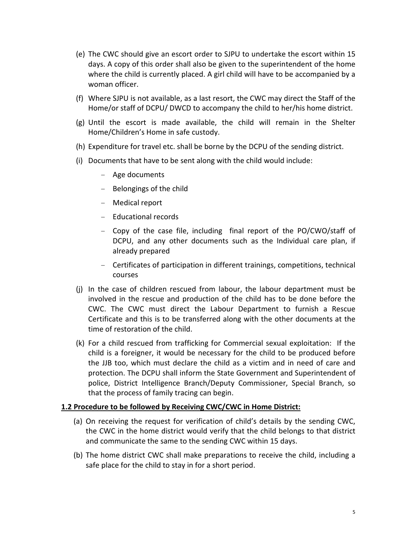- (e) The CWC should give an escort order to SJPU to undertake the escort within 15 days. A copy of this order shall also be given to the superintendent of the home where the child is currently placed. A girl child will have to be accompanied by a woman officer.
- (f) Where SJPU is not available, as a last resort, the CWC may direct the Staff of the Home/or staff of DCPU/ DWCD to accompany the child to her/his home district.
- (g) Until the escort is made available, the child will remain in the Shelter Home/Children's Home in safe custody.
- (h) Expenditure for travel etc. shall be borne by the DCPU of the sending district.
- (i) Documents that have to be sent along with the child would include:
	- Age documents
	- Belongings of the child
	- Medical report
	- Educational records
	- Copy of the case file, including final report of the PO/CWO/staff of DCPU, and any other documents such as the Individual care plan, if already prepared
	- Certificates of participation in different trainings, competitions, technical courses
- (j) In the case of children rescued from labour, the labour department must be involved in the rescue and production of the child has to be done before the CWC. The CWC must direct the Labour Department to furnish a Rescue Certificate and this is to be transferred along with the other documents at the time of restoration of the child.
- (k) For a child rescued from trafficking for Commercial sexual exploitation: If the child is a foreigner, it would be necessary for the child to be produced before the JJB too, which must declare the child as a victim and in need of care and protection. The DCPU shall inform the State Government and Superintendent of police, District Intelligence Branch/Deputy Commissioner, Special Branch, so that the process of family tracing can begin.

#### 1.2 Procedure to be followed by Receiving CWC/CWC in Home District:

- (a) On receiving the request for verification of child's details by the sending CWC, the CWC in the home district would verify that the child belongs to that district and communicate the same to the sending CWC within 15 days.
- (b) The home district CWC shall make preparations to receive the child, including a safe place for the child to stay in for a short period.